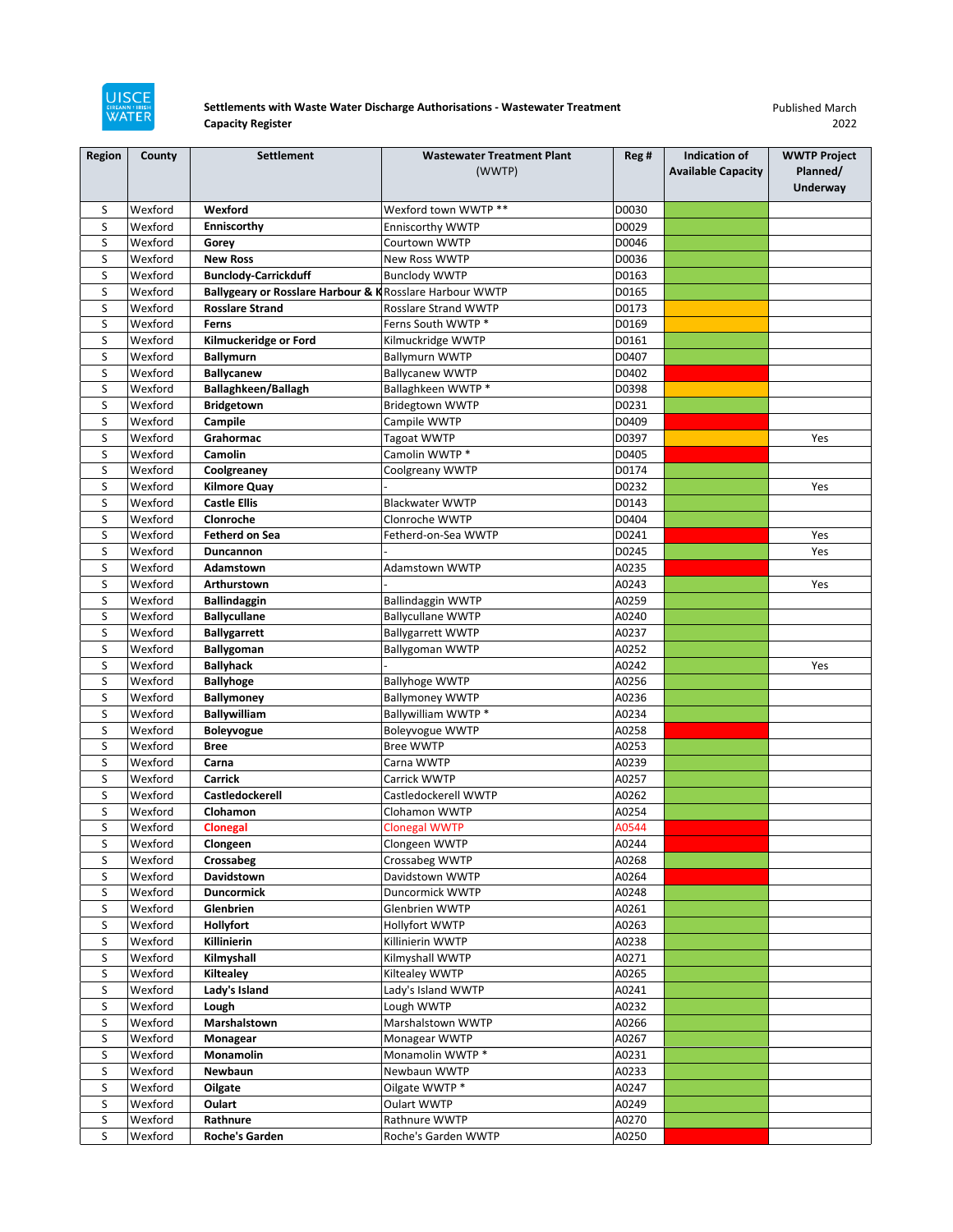

## **Settlements with Waste Water Discharge Authorisations - Wastewater Treatment Capacity Register**

Published March 2022

| <b>Region</b> | County             | <b>Settlement</b>                                        | <b>Wastewater Treatment Plant</b>  | Reg#           | Indication of             | <b>WWTP Project</b> |
|---------------|--------------------|----------------------------------------------------------|------------------------------------|----------------|---------------------------|---------------------|
|               |                    |                                                          | (WWTP)                             |                | <b>Available Capacity</b> | Planned/            |
|               |                    |                                                          |                                    |                |                           | <b>Underway</b>     |
| S             | Wexford            | Wexford                                                  | Wexford town WWTP **               | D0030          |                           |                     |
| S             | Wexford            | Enniscorthy                                              | <b>Enniscorthy WWTP</b>            | D0029          |                           |                     |
| S             | Wexford            | Gorey                                                    | Courtown WWTP                      | D0046          |                           |                     |
| S             | Wexford            | <b>New Ross</b>                                          | New Ross WWTP                      | D0036          |                           |                     |
| S             | Wexford            | <b>Bunclody-Carrickduff</b>                              | <b>Bunclody WWTP</b>               | D0163          |                           |                     |
| S             | Wexford            | Ballygeary or Rosslare Harbour & K Rosslare Harbour WWTP |                                    | D0165          |                           |                     |
| S             | Wexford            | <b>Rosslare Strand</b>                                   | Rosslare Strand WWTP               | D0173          |                           |                     |
| S             | Wexford            | Ferns                                                    | Ferns South WWTP *                 | D0169          |                           |                     |
| S             | Wexford            | Kilmuckeridge or Ford                                    | Kilmuckridge WWTP                  | D0161          |                           |                     |
| S             | Wexford            | <b>Ballymurn</b>                                         | <b>Ballymurn WWTP</b>              | D0407          |                           |                     |
| S             | Wexford            | <b>Ballycanew</b>                                        | <b>Ballycanew WWTP</b>             | D0402          |                           |                     |
| S             | Wexford            | Ballaghkeen/Ballagh                                      | Ballaghkeen WWTP*                  | D0398          |                           |                     |
| S             | Wexford            | Bridgetown                                               | <b>Bridegtown WWTP</b>             | D0231          |                           |                     |
| S             | Wexford            | Campile                                                  | Campile WWTP                       | D0409          |                           |                     |
| S             | Wexford            | Grahormac                                                | Tagoat WWTP                        | D0397          |                           | Yes                 |
| S             | Wexford            | Camolin                                                  | Camolin WWTP *                     | D0405          |                           |                     |
| S             | Wexford            | Coolgreaney                                              | Coolgreany WWTP                    | D0174          |                           |                     |
| S             | Wexford            | <b>Kilmore Quay</b>                                      |                                    | D0232          |                           | Yes                 |
| S             | Wexford            | <b>Castle Ellis</b>                                      | <b>Blackwater WWTP</b>             | D0143          |                           |                     |
| S             | Wexford            | Clonroche                                                | Clonroche WWTP                     | D0404          |                           |                     |
| S             | Wexford            | <b>Fetherd on Sea</b>                                    | Fetherd-on-Sea WWTP                | D0241          |                           | Yes                 |
| S             | Wexford            | Duncannon                                                |                                    | D0245          |                           | Yes                 |
| S             | Wexford            | Adamstown                                                | Adamstown WWTP                     | A0235          |                           |                     |
| S             | Wexford            | Arthurstown                                              |                                    | A0243          |                           | Yes                 |
| S             | Wexford            | <b>Ballindaggin</b>                                      | <b>Ballindaggin WWTP</b>           | A0259          |                           |                     |
| S             | Wexford            | <b>Ballycullane</b>                                      | <b>Ballycullane WWTP</b>           | A0240          |                           |                     |
| S             | Wexford            | <b>Ballygarrett</b>                                      | <b>Ballygarrett WWTP</b>           | A0237          |                           |                     |
| S             | Wexford            | Ballygoman                                               | <b>Ballygoman WWTP</b>             | A0252          |                           |                     |
| S             | Wexford            | <b>Ballyhack</b>                                         |                                    | A0242          |                           | Yes                 |
| S             | Wexford            | <b>Ballyhoge</b>                                         | <b>Ballyhoge WWTP</b>              | A0256          |                           |                     |
| S             | Wexford            | <b>Ballymoney</b>                                        | <b>Ballymoney WWTP</b>             | A0236          |                           |                     |
| S             | Wexford            | <b>Ballywilliam</b>                                      | Ballywilliam WWTP *                | A0234          |                           |                     |
| S             | Wexford            | <b>Boleyvogue</b>                                        | <b>Boleyvogue WWTP</b>             | A0258          |                           |                     |
| S             | Wexford            | <b>Bree</b>                                              | <b>Bree WWTP</b>                   | A0253          |                           |                     |
| S             | Wexford            | Carna                                                    | Carna WWTP                         | A0239          |                           |                     |
| S             | Wexford            | <b>Carrick</b>                                           | Carrick WWTP                       | A0257          |                           |                     |
| S             | Wexford            | Castledockerell                                          | Castledockerell WWTP               | A0262          |                           |                     |
| S             | Wexford            | Clohamon                                                 | Clohamon WWTP                      | A0254          |                           |                     |
| S             | Wexford            | <b>Clonegal</b>                                          | <b>Clonegal WWTP</b>               | A0544          |                           |                     |
| S             | Wexford            | Clongeen                                                 | Clongeen WWTP                      | A0244          |                           |                     |
| S             | Wexford            | Crossabeg                                                | Crossabeg WWTP                     | A0268          |                           |                     |
| S             | Wexford            | Davidstown                                               | Davidstown WWTP                    | A0264          |                           |                     |
| S<br>S        | Wexford            | <b>Duncormick</b>                                        | Duncormick WWTP<br>Glenbrien WWTP  | A0248          |                           |                     |
|               | Wexford            | Glenbrien                                                |                                    | A0261          |                           |                     |
| S<br>S        | Wexford<br>Wexford | Hollyfort<br>Killinierin                                 | Hollyfort WWTP<br>Killinierin WWTP | A0263<br>A0238 |                           |                     |
|               | Wexford            |                                                          |                                    | A0271          |                           |                     |
| S<br>S        | Wexford            | Kilmyshall<br>Kiltealey                                  | Kilmyshall WWTP<br>Kiltealey WWTP  | A0265          |                           |                     |
|               | Wexford            |                                                          | Lady's Island WWTP                 |                |                           |                     |
| S<br>S        | Wexford            | Lady's Island<br>Lough                                   | Lough WWTP                         | A0241<br>A0232 |                           |                     |
| S             | Wexford            | Marshalstown                                             | Marshalstown WWTP                  | A0266          |                           |                     |
| S             | Wexford            | Monagear                                                 | Monagear WWTP                      | A0267          |                           |                     |
| S             | Wexford            | Monamolin                                                | Monamolin WWTP *                   | A0231          |                           |                     |
| S             | Wexford            | Newbaun                                                  | Newbaun WWTP                       | A0233          |                           |                     |
| S             | Wexford            | Oilgate                                                  | Oilgate WWTP *                     | A0247          |                           |                     |
| S             | Wexford            | Oulart                                                   | Oulart WWTP                        | A0249          |                           |                     |
| S             | Wexford            | Rathnure                                                 | Rathnure WWTP                      | A0270          |                           |                     |
| S             | Wexford            | Roche's Garden                                           | Roche's Garden WWTP                | A0250          |                           |                     |
|               |                    |                                                          |                                    |                |                           |                     |